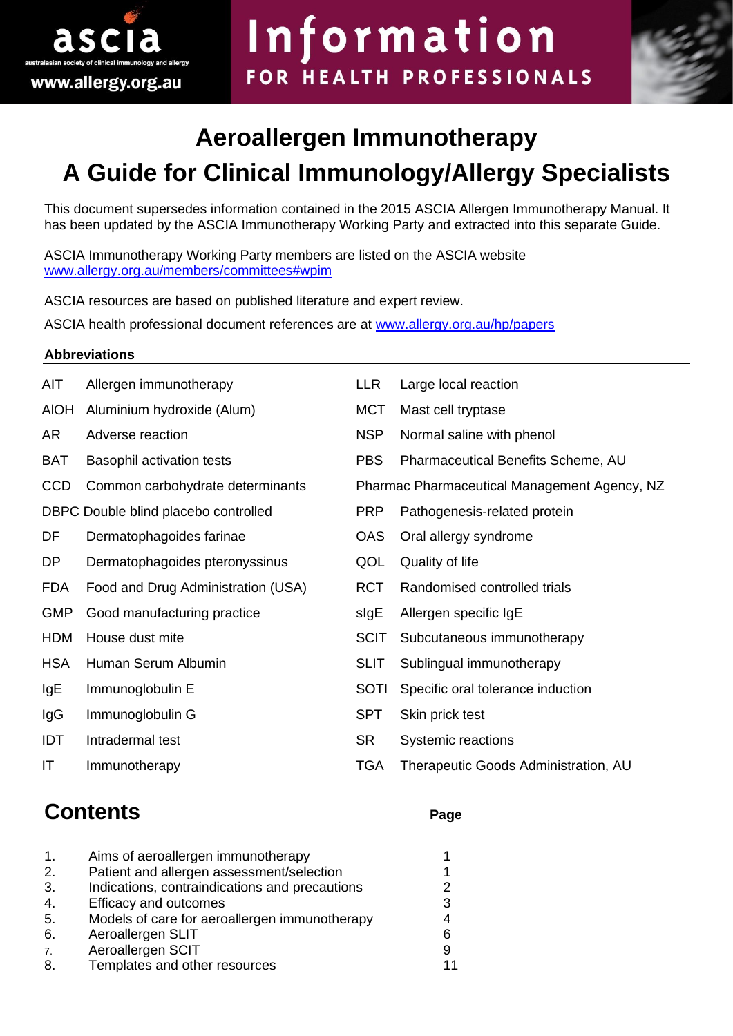

# Information FOR HEALTH PROFESSIONALS



## **Aeroallergen Immunotherapy A Guide for Clinical Immunology/Allergy Specialists**

This document supersedes information contained in the 2015 ASCIA Allergen Immunotherapy Manual. It has been updated by the ASCIA Immunotherapy Working Party and extracted into this separate Guide.

ASCIA Immunotherapy Working Party members are listed on the ASCIA website [www.allergy.org.au/members/committees#wpim](http://www.allergy.org.au/members/committees#wpim)

ASCIA resources are based on published literature and expert review.

ASCIA health professional document references are at [www.allergy.org.au/hp/papers](http://www.allergy.org.au/hp/papers)

#### **Abbreviations**

| AIT         | Allergen immunotherapy               | LLR         | Large local reaction                         |
|-------------|--------------------------------------|-------------|----------------------------------------------|
| <b>AIOH</b> | Aluminium hydroxide (Alum)           | <b>MCT</b>  | Mast cell tryptase                           |
| AR          | Adverse reaction                     | <b>NSP</b>  | Normal saline with phenol                    |
| <b>BAT</b>  | <b>Basophil activation tests</b>     | <b>PBS</b>  | Pharmaceutical Benefits Scheme, AU           |
| <b>CCD</b>  | Common carbohydrate determinants     |             | Pharmac Pharmaceutical Management Agency, NZ |
|             | DBPC Double blind placebo controlled | <b>PRP</b>  | Pathogenesis-related protein                 |
| DF          | Dermatophagoides farinae             | <b>OAS</b>  | Oral allergy syndrome                        |
| DP          | Dermatophagoides pteronyssinus       | QOL         | Quality of life                              |
| <b>FDA</b>  | Food and Drug Administration (USA)   | <b>RCT</b>  | Randomised controlled trials                 |
| <b>GMP</b>  | Good manufacturing practice          | sigE        | Allergen specific IgE                        |
| <b>HDM</b>  | House dust mite                      | <b>SCIT</b> | Subcutaneous immunotherapy                   |
| <b>HSA</b>  | Human Serum Albumin                  | <b>SLIT</b> | Sublingual immunotherapy                     |
| lgE         | Immunoglobulin E                     | <b>SOTI</b> | Specific oral tolerance induction            |
| IgG         | Immunoglobulin G                     | <b>SPT</b>  | Skin prick test                              |
| IDT         | Intradermal test                     | <b>SR</b>   | Systemic reactions                           |
| ΙT          | Immunotherapy                        | <b>TGA</b>  | Therapeutic Goods Administration, AU         |
|             |                                      |             |                                              |

### **Contents Page**

| 1. | Aims of aeroallergen immunotherapy             |   |
|----|------------------------------------------------|---|
| 2. | Patient and allergen assessment/selection      |   |
| 3. | Indications, contraindications and precautions |   |
| 4. | Efficacy and outcomes                          | 3 |
| 5. | Models of care for aeroallergen immunotherapy  |   |
| 6. | Aeroallergen SLIT                              |   |
| 7. | Aeroallergen SCIT                              | 9 |
| 8. | Templates and other resources                  |   |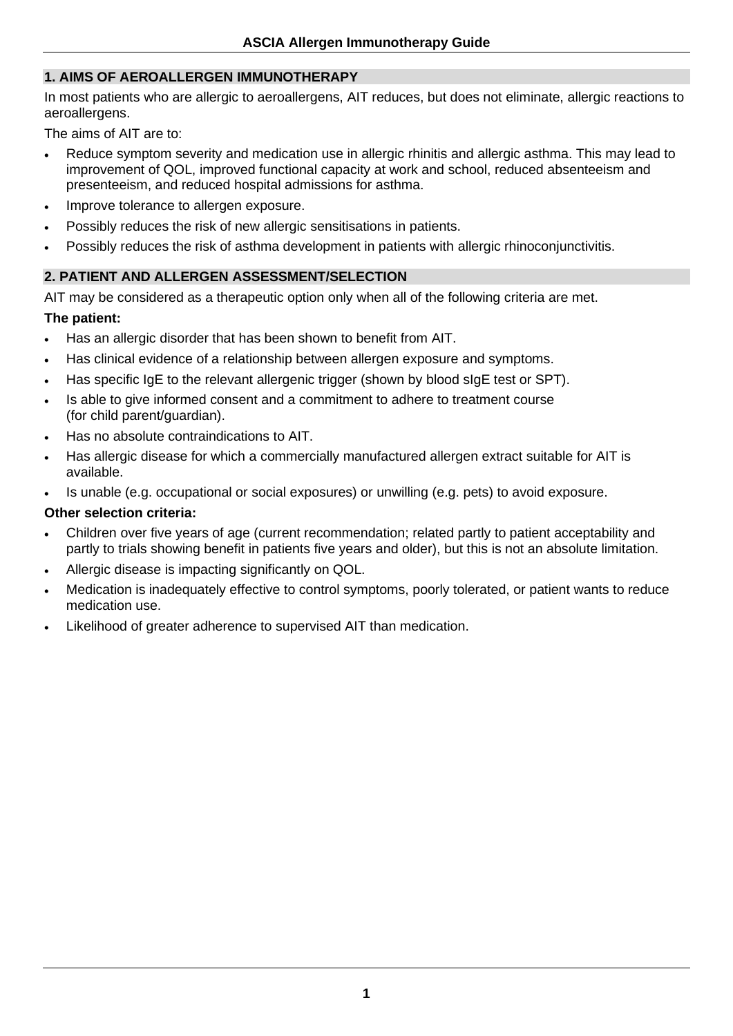#### **1. AIMS OF AEROALLERGEN IMMUNOTHERAPY**

In most patients who are allergic to aeroallergens, AIT reduces, but does not eliminate, allergic reactions to aeroallergens.

The aims of AIT are to:

- Reduce symptom severity and medication use in allergic rhinitis and allergic asthma. This may lead to improvement of QOL, improved functional capacity at work and school, reduced absenteeism and presenteeism, and reduced hospital admissions for asthma.
- Improve tolerance to allergen exposure.
- Possibly reduces the risk of new allergic sensitisations in patients.
- Possibly reduces the risk of asthma development in patients with allergic rhinoconjunctivitis.

#### **2. PATIENT AND ALLERGEN ASSESSMENT/SELECTION**

AIT may be considered as a therapeutic option only when all of the following criteria are met.

#### **The patient:**

- Has an allergic disorder that has been shown to benefit from AIT.
- Has clinical evidence of a relationship between allergen exposure and symptoms.
- Has specific IgE to the relevant allergenic trigger (shown by blood sIgE test or SPT).
- Is able to give informed consent and a commitment to adhere to treatment course (for child parent/guardian).
- Has no absolute contraindications to AIT.
- Has allergic disease for which a commercially manufactured allergen extract suitable for AIT is available.
- Is unable (e.g. occupational or social exposures) or unwilling (e.g. pets) to avoid exposure.

#### **Other selection criteria:**

- Children over five years of age (current recommendation; related partly to patient acceptability and partly to trials showing benefit in patients five years and older), but this is not an absolute limitation.
- Allergic disease is impacting significantly on QOL.
- Medication is inadequately effective to control symptoms, poorly tolerated, or patient wants to reduce medication use.
- Likelihood of greater adherence to supervised AIT than medication.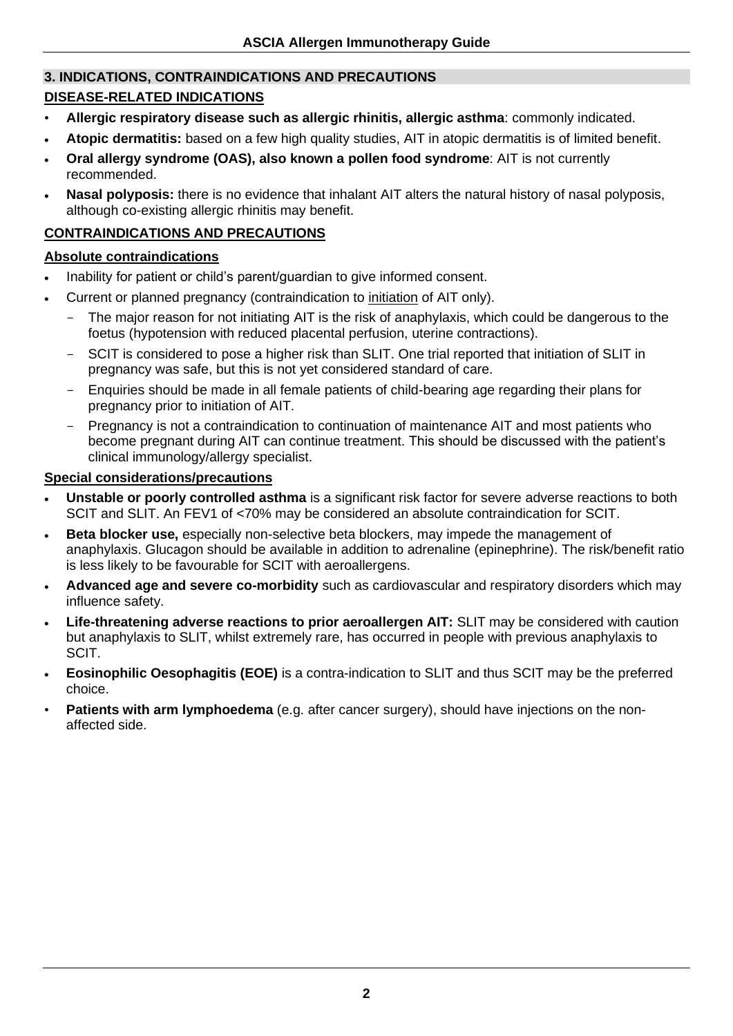#### **3. INDICATIONS, CONTRAINDICATIONS AND PRECAUTIONS**

#### **DISEASE-RELATED INDICATIONS**

- **Allergic respiratory disease such as allergic rhinitis, allergic asthma**: commonly indicated.
- **Atopic dermatitis:** based on a few high quality studies, AIT in atopic dermatitis is of limited benefit.
- **Oral allergy syndrome (OAS), also known a pollen food syndrome**: AIT is not currently recommended.
- **Nasal polyposis:** there is no evidence that inhalant AIT alters the natural history of nasal polyposis, although co-existing allergic rhinitis may benefit.

#### **CONTRAINDICATIONS AND PRECAUTIONS**

#### **Absolute contraindications**

- Inability for patient or child's parent/guardian to give informed consent.
- Current or planned pregnancy (contraindication to initiation of AIT only).
	- The major reason for not initiating AIT is the risk of anaphylaxis, which could be dangerous to the foetus (hypotension with reduced placental perfusion, uterine contractions).
	- SCIT is considered to pose a higher risk than SLIT. One trial reported that initiation of SLIT in pregnancy was safe, but this is not yet considered standard of care.
	- Enquiries should be made in all female patients of child-bearing age regarding their plans for pregnancy prior to initiation of AIT.
	- Pregnancy is not a contraindication to continuation of maintenance AIT and most patients who become pregnant during AIT can continue treatment. This should be discussed with the patient's clinical immunology/allergy specialist.

#### **Special considerations/precautions**

- **Unstable or poorly controlled asthma** is a significant risk factor for severe adverse reactions to both SCIT and SLIT. An FEV1 of <70% may be considered an absolute contraindication for SCIT.
- **Beta blocker use,** especially non-selective beta blockers, may impede the management of anaphylaxis. Glucagon should be available in addition to adrenaline (epinephrine). The risk/benefit ratio is less likely to be favourable for SCIT with aeroallergens.
- **Advanced age and severe co-morbidity** such as cardiovascular and respiratory disorders which may influence safety.
- **Life-threatening adverse reactions to prior aeroallergen AIT:** SLIT may be considered with caution but anaphylaxis to SLIT, whilst extremely rare, has occurred in people with previous anaphylaxis to SCIT.
- **Eosinophilic Oesophagitis (EOE)** is a contra-indication to SLIT and thus SCIT may be the preferred choice.
- **Patients with arm lymphoedema** (e.g. after cancer surgery), should have injections on the nonaffected side.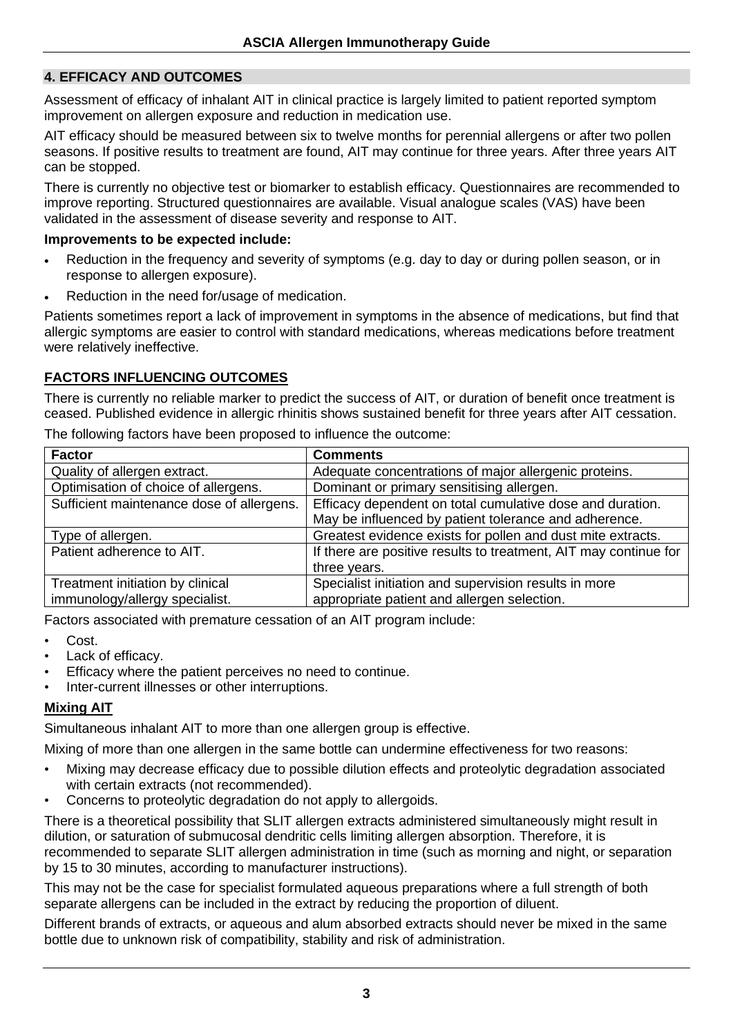#### **4. EFFICACY AND OUTCOMES**

Assessment of efficacy of inhalant AIT in clinical practice is largely limited to patient reported symptom improvement on allergen exposure and reduction in medication use.

AIT efficacy should be measured between six to twelve months for perennial allergens or after two pollen seasons. If positive results to treatment are found, AIT may continue for three years. After three years AIT can be stopped.

There is currently no objective test or biomarker to establish efficacy. Questionnaires are recommended to improve reporting. Structured questionnaires are available. Visual analogue scales (VAS) have been validated in the assessment of disease severity and response to AIT.

#### **Improvements to be expected include:**

- Reduction in the frequency and severity of symptoms (e.g. day to day or during pollen season, or in response to allergen exposure).
- Reduction in the need for/usage of medication.

Patients sometimes report a lack of improvement in symptoms in the absence of medications, but find that allergic symptoms are easier to control with standard medications, whereas medications before treatment were relatively ineffective.

#### **FACTORS INFLUENCING OUTCOMES**

There is currently no reliable marker to predict the success of AIT, or duration of benefit once treatment is ceased. Published evidence in allergic rhinitis shows sustained benefit for three years after AIT cessation.

| <b>Factor</b>                             | <b>Comments</b>                                                  |
|-------------------------------------------|------------------------------------------------------------------|
| Quality of allergen extract.              | Adequate concentrations of major allergenic proteins.            |
| Optimisation of choice of allergens.      | Dominant or primary sensitising allergen.                        |
| Sufficient maintenance dose of allergens. | Efficacy dependent on total cumulative dose and duration.        |
|                                           | May be influenced by patient tolerance and adherence.            |
| Type of allergen.                         | Greatest evidence exists for pollen and dust mite extracts.      |
| Patient adherence to AIT.                 | If there are positive results to treatment, AIT may continue for |
|                                           | three years.                                                     |
| Treatment initiation by clinical          | Specialist initiation and supervision results in more            |
| immunology/allergy specialist.            | appropriate patient and allergen selection.                      |

The following factors have been proposed to influence the outcome:

Factors associated with premature cessation of an AIT program include:

- Cost.
- Lack of efficacy.
- Efficacy where the patient perceives no need to continue.
- Inter-current illnesses or other interruptions.

#### **Mixing AIT**

Simultaneous inhalant AIT to more than one allergen group is effective.

Mixing of more than one allergen in the same bottle can undermine effectiveness for two reasons:

- Mixing may decrease efficacy due to possible dilution effects and proteolytic degradation associated with certain extracts (not recommended).
- Concerns to proteolytic degradation do not apply to allergoids.

There is a theoretical possibility that SLIT allergen extracts administered simultaneously might result in dilution, or saturation of submucosal dendritic cells limiting allergen absorption. Therefore, it is recommended to separate SLIT allergen administration in time (such as morning and night, or separation by 15 to 30 minutes, according to manufacturer instructions).

This may not be the case for specialist formulated aqueous preparations where a full strength of both separate allergens can be included in the extract by reducing the proportion of diluent.

Different brands of extracts, or aqueous and alum absorbed extracts should never be mixed in the same bottle due to unknown risk of compatibility, stability and risk of administration.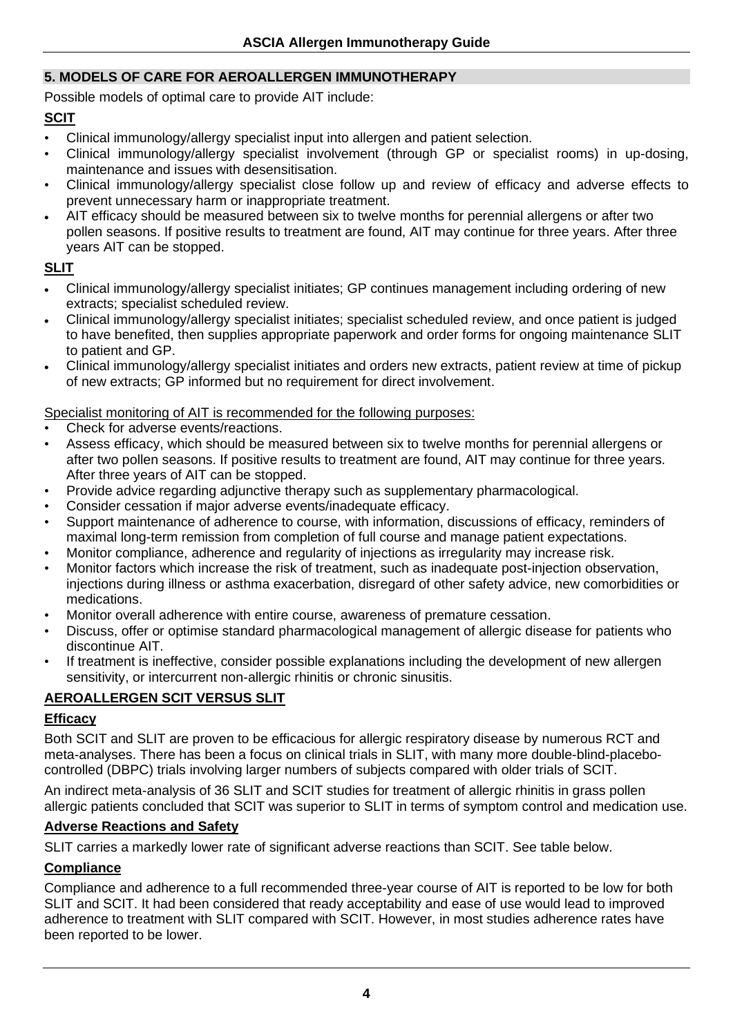#### **5. MODELS OF CARE FOR AEROALLERGEN IMMUNOTHERAPY**

Possible models of optimal care to provide AIT include:

#### **SCIT**

- Clinical immunology/allergy specialist input into allergen and patient selection.
- Clinical immunology/allergy specialist involvement (through GP or specialist rooms) in up-dosing, maintenance and issues with desensitisation.
- Clinical immunology/allergy specialist close follow up and review of efficacy and adverse effects to prevent unnecessary harm or inappropriate treatment.
- AIT efficacy should be measured between six to twelve months for perennial allergens or after two pollen seasons. If positive results to treatment are found, AIT may continue for three years. After three years AIT can be stopped.

#### **SLIT**

- Clinical immunology/allergy specialist initiates; GP continues management including ordering of new extracts; specialist scheduled review.
- Clinical immunology/allergy specialist initiates; specialist scheduled review, and once patient is judged to have benefited, then supplies appropriate paperwork and order forms for ongoing maintenance SLIT to patient and GP.
- Clinical immunology/allergy specialist initiates and orders new extracts, patient review at time of pickup of new extracts; GP informed but no requirement for direct involvement.

#### Specialist monitoring of AIT is recommended for the following purposes:

- Check for adverse events/reactions.
- Assess efficacy, which should be measured between six to twelve months for perennial allergens or after two pollen seasons. If positive results to treatment are found, AIT may continue for three years. After three years of AIT can be stopped.
- Provide advice regarding adjunctive therapy such as supplementary pharmacological.
- Consider cessation if major adverse events/inadequate efficacy.
- Support maintenance of adherence to course, with information, discussions of efficacy, reminders of maximal long-term remission from completion of full course and manage patient expectations.
- Monitor compliance, adherence and regularity of injections as irregularity may increase risk.
- Monitor factors which increase the risk of treatment, such as inadequate post-injection observation, injections during illness or asthma exacerbation, disregard of other safety advice, new comorbidities or medications.
- Monitor overall adherence with entire course, awareness of premature cessation.
- Discuss, offer or optimise standard pharmacological management of allergic disease for patients who discontinue AIT.
- If treatment is ineffective, consider possible explanations including the development of new allergen sensitivity, or intercurrent non-allergic rhinitis or chronic sinusitis.

#### **AEROALLERGEN SCIT VERSUS SLIT**

#### **Efficacy**

Both SCIT and SLIT are proven to be efficacious for allergic respiratory disease by numerous RCT and meta-analyses. There has been a focus on clinical trials in SLIT, with many more double-blind-placebocontrolled (DBPC) trials involving larger numbers of subjects compared with older trials of SCIT.

An indirect meta-analysis of 36 SLIT and SCIT studies for treatment of allergic rhinitis in grass pollen allergic patients concluded that SCIT was superior to SLIT in terms of symptom control and medication use.

#### **Adverse Reactions and Safety**

SLIT carries a markedly lower rate of significant adverse reactions than SCIT. See table below.

#### **Compliance**

Compliance and adherence to a full recommended three-year course of AIT is reported to be low for both SLIT and SCIT. It had been considered that ready acceptability and ease of use would lead to improved adherence to treatment with SLIT compared with SCIT. However, in most studies adherence rates have been reported to be lower.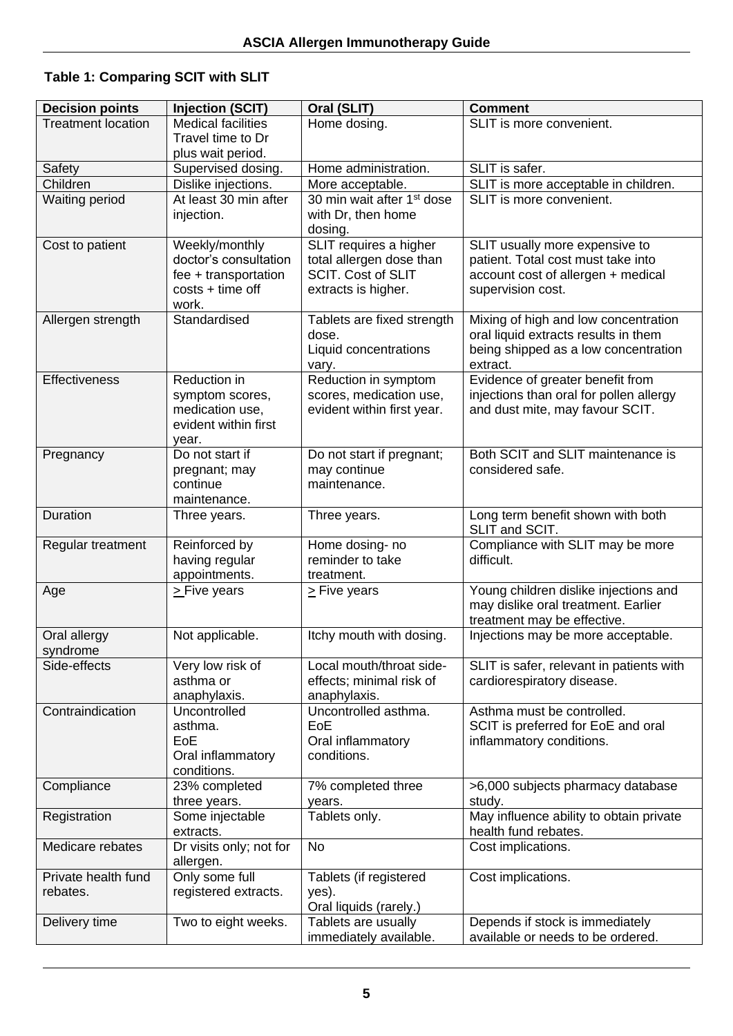#### **Table 1: Comparing SCIT with SLIT**

| <b>Decision points</b>    | <b>Injection (SCIT)</b>   | Oral (SLIT)                            | <b>Comment</b>                           |
|---------------------------|---------------------------|----------------------------------------|------------------------------------------|
| <b>Treatment location</b> | <b>Medical facilities</b> | Home dosing.                           | SLIT is more convenient.                 |
|                           | Travel time to Dr         |                                        |                                          |
|                           | plus wait period.         |                                        |                                          |
| Safety                    | Supervised dosing.        | Home administration.                   | SLIT is safer.                           |
| Children                  | Dislike injections.       | More acceptable.                       | SLIT is more acceptable in children.     |
| Waiting period            | At least 30 min after     | 30 min wait after 1 <sup>st</sup> dose | SLIT is more convenient.                 |
|                           | injection.                | with Dr, then home                     |                                          |
|                           |                           | dosing.                                |                                          |
| Cost to patient           | Weekly/monthly            | SLIT requires a higher                 | SLIT usually more expensive to           |
|                           | doctor's consultation     | total allergen dose than               | patient. Total cost must take into       |
|                           | fee + transportation      | <b>SCIT. Cost of SLIT</b>              | account cost of allergen + medical       |
|                           | $costs + time off$        | extracts is higher.                    | supervision cost.                        |
|                           | work.                     |                                        |                                          |
| Allergen strength         | Standardised              | Tablets are fixed strength             | Mixing of high and low concentration     |
|                           |                           | dose.                                  | oral liquid extracts results in them     |
|                           |                           | Liquid concentrations                  | being shipped as a low concentration     |
|                           |                           | vary.                                  | extract.                                 |
| Effectiveness             | Reduction in              | Reduction in symptom                   | Evidence of greater benefit from         |
|                           | symptom scores,           | scores, medication use,                | injections than oral for pollen allergy  |
|                           | medication use,           | evident within first year.             | and dust mite, may favour SCIT.          |
|                           | evident within first      |                                        |                                          |
|                           | year.                     |                                        |                                          |
| Pregnancy                 | Do not start if           | Do not start if pregnant;              | Both SCIT and SLIT maintenance is        |
|                           | pregnant; may             | may continue                           | considered safe.                         |
|                           | continue                  | maintenance.                           |                                          |
|                           | maintenance.              |                                        |                                          |
| Duration                  | Three years.              | Three years.                           | Long term benefit shown with both        |
|                           |                           |                                        | SLIT and SCIT.                           |
| Regular treatment         | Reinforced by             | Home dosing- no                        | Compliance with SLIT may be more         |
|                           | having regular            | reminder to take                       | difficult.                               |
|                           | appointments.             | treatment.                             |                                          |
| Age                       | > Five years              | $\geq$ Five years                      | Young children dislike injections and    |
|                           |                           |                                        | may dislike oral treatment. Earlier      |
|                           |                           |                                        | treatment may be effective.              |
| Oral allergy              | Not applicable.           | Itchy mouth with dosing.               | Injections may be more acceptable.       |
| syndrome                  |                           |                                        |                                          |
| Side-effects              | Very low risk of          | Local mouth/throat side-               | SLIT is safer, relevant in patients with |
|                           | asthma or                 | effects; minimal risk of               | cardiorespiratory disease.               |
|                           | anaphylaxis.              | anaphylaxis.                           |                                          |
| Contraindication          | Uncontrolled              | Uncontrolled asthma.                   | Asthma must be controlled.               |
|                           | asthma.                   | EoE                                    | SCIT is preferred for EoE and oral       |
|                           | EoE                       | Oral inflammatory                      | inflammatory conditions.                 |
|                           | Oral inflammatory         | conditions.                            |                                          |
|                           | conditions.               |                                        |                                          |
| Compliance                | 23% completed             | 7% completed three                     | >6,000 subjects pharmacy database        |
|                           | three years.              | years.                                 | study.                                   |
| Registration              | Some injectable           | Tablets only.                          | May influence ability to obtain private  |
|                           | extracts.                 |                                        | health fund rebates.                     |
| Medicare rebates          | Dr visits only; not for   | No                                     | Cost implications.                       |
|                           | allergen.                 |                                        |                                          |
| Private health fund       | Only some full            | Tablets (if registered                 | Cost implications.                       |
| rebates.                  | registered extracts.      | yes).                                  |                                          |
|                           |                           | Oral liquids (rarely.)                 |                                          |
| Delivery time             | Two to eight weeks.       | Tablets are usually                    | Depends if stock is immediately          |
|                           |                           | immediately available.                 | available or needs to be ordered.        |
|                           |                           |                                        |                                          |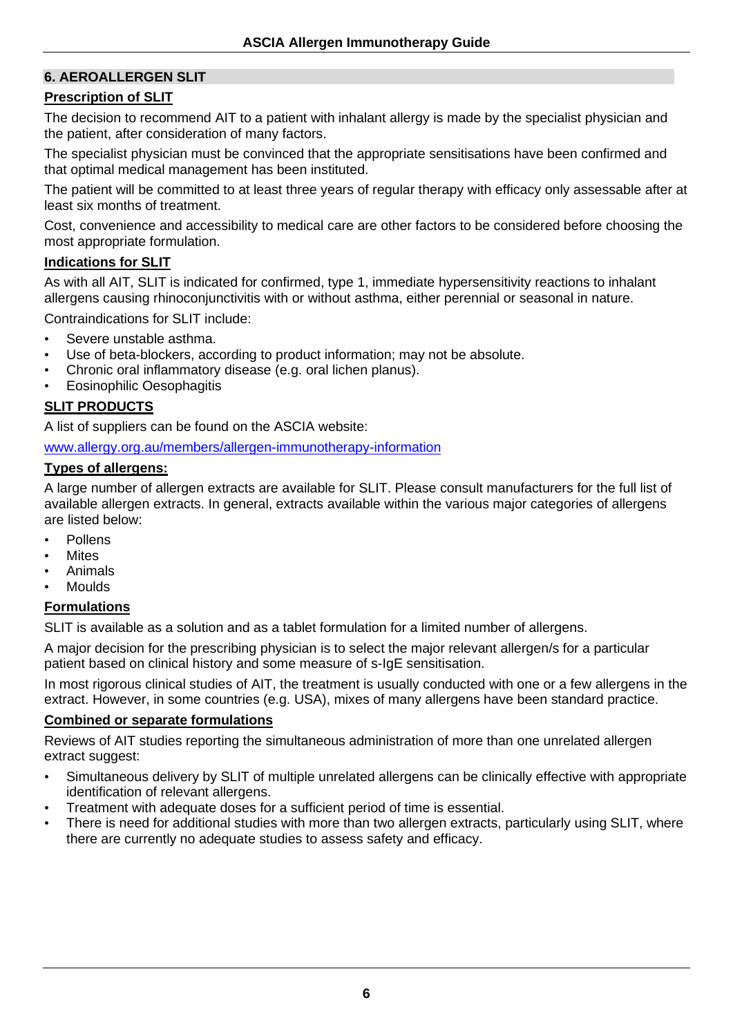#### **6. AEROALLERGEN SLIT**

#### **Prescription of SLIT**

The decision to recommend AIT to a patient with inhalant allergy is made by the specialist physician and the patient, after consideration of many factors.

The specialist physician must be convinced that the appropriate sensitisations have been confirmed and that optimal medical management has been instituted.

The patient will be committed to at least three years of regular therapy with efficacy only assessable after at least six months of treatment.

Cost, convenience and accessibility to medical care are other factors to be considered before choosing the most appropriate formulation.

#### **Indications for SLIT**

As with all AIT, SLIT is indicated for confirmed, type 1, immediate hypersensitivity reactions to inhalant allergens causing rhinoconjunctivitis with or without asthma, either perennial or seasonal in nature.

Contraindications for SLIT include:

- Severe unstable asthma.
- Use of beta-blockers, according to product information; may not be absolute.
- Chronic oral inflammatory disease (e.g. oral lichen planus).
- Eosinophilic Oesophagitis

#### **SLIT PRODUCTS**

A list of suppliers can be found on the ASCIA website:

[www.allergy.org.au/members/allergen-immunotherapy-information](http://www.allergy.org.au/members/allergen-immunotherapy-information)

#### **Types of allergens:**

A large number of allergen extracts are available for SLIT. Please consult manufacturers for the full list of available allergen extracts. In general, extracts available within the various major categories of allergens are listed below:

- Pollens
- **Mites**
- Animals
- Moulds

#### **Formulations**

SLIT is available as a solution and as a tablet formulation for a limited number of allergens.

A major decision for the prescribing physician is to select the major relevant allergen/s for a particular patient based on clinical history and some measure of s-IgE sensitisation.

In most rigorous clinical studies of AIT, the treatment is usually conducted with one or a few allergens in the extract. However, in some countries (e.g. USA), mixes of many allergens have been standard practice.

#### **Combined or separate formulations**

Reviews of AIT studies reporting the simultaneous administration of more than one unrelated allergen extract suggest:

- Simultaneous delivery by SLIT of multiple unrelated allergens can be clinically effective with appropriate identification of relevant allergens.
- Treatment with adequate doses for a sufficient period of time is essential.
- There is need for additional studies with more than two allergen extracts, particularly using SLIT, where there are currently no adequate studies to assess safety and efficacy.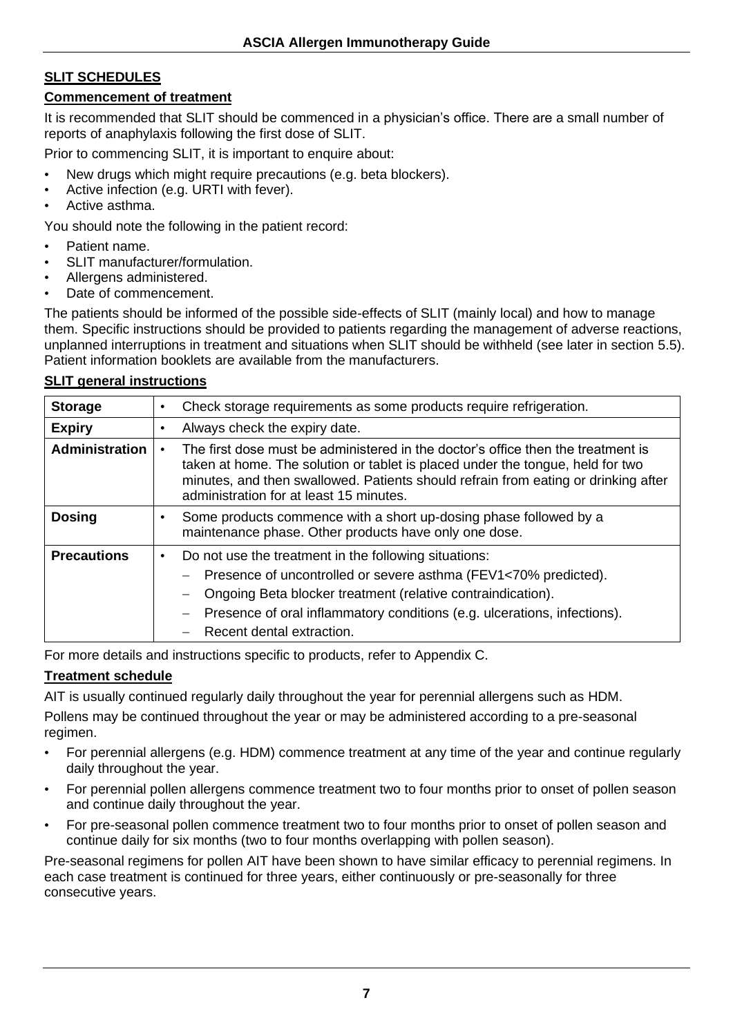#### **SLIT SCHEDULES**

#### **Commencement of treatment**

It is recommended that SLIT should be commenced in a physician's office. There are a small number of reports of anaphylaxis following the first dose of SLIT.

Prior to commencing SLIT, it is important to enquire about:

- New drugs which might require precautions (e.g. beta blockers).
- Active infection (e.g. URTI with fever).
- Active asthma.

You should note the following in the patient record:

- Patient name.
- SLIT manufacturer/formulation.
- Allergens administered.
- Date of commencement.

The patients should be informed of the possible side-effects of SLIT (mainly local) and how to manage them. Specific instructions should be provided to patients regarding the management of adverse reactions, unplanned interruptions in treatment and situations when SLIT should be withheld (see later in section 5.5). Patient information booklets are available from the manufacturers.

#### **SLIT general instructions**

| <b>Storage</b>        | Check storage requirements as some products require refrigeration.<br>$\bullet$                                                                                                                                                                                                                               |
|-----------------------|---------------------------------------------------------------------------------------------------------------------------------------------------------------------------------------------------------------------------------------------------------------------------------------------------------------|
| <b>Expiry</b>         | Always check the expiry date.                                                                                                                                                                                                                                                                                 |
| <b>Administration</b> | The first dose must be administered in the doctor's office then the treatment is<br>taken at home. The solution or tablet is placed under the tongue, held for two<br>minutes, and then swallowed. Patients should refrain from eating or drinking after<br>administration for at least 15 minutes.           |
| <b>Dosing</b>         | Some products commence with a short up-dosing phase followed by a<br>maintenance phase. Other products have only one dose.                                                                                                                                                                                    |
| <b>Precautions</b>    | Do not use the treatment in the following situations:<br>$\bullet$<br>Presence of uncontrolled or severe asthma (FEV1<70% predicted).<br>Ongoing Beta blocker treatment (relative contraindication).<br>Presence of oral inflammatory conditions (e.g. ulcerations, infections).<br>Recent dental extraction. |

For more details and instructions specific to products, refer to Appendix C.

#### **Treatment schedule**

AIT is usually continued regularly daily throughout the year for perennial allergens such as HDM.

Pollens may be continued throughout the year or may be administered according to a pre-seasonal regimen.

- For perennial allergens (e.g. HDM) commence treatment at any time of the year and continue regularly daily throughout the year.
- For perennial pollen allergens commence treatment two to four months prior to onset of pollen season and continue daily throughout the year.
- For pre-seasonal pollen commence treatment two to four months prior to onset of pollen season and continue daily for six months (two to four months overlapping with pollen season).

Pre-seasonal regimens for pollen AIT have been shown to have similar efficacy to perennial regimens. In each case treatment is continued for three years, either continuously or pre-seasonally for three consecutive years.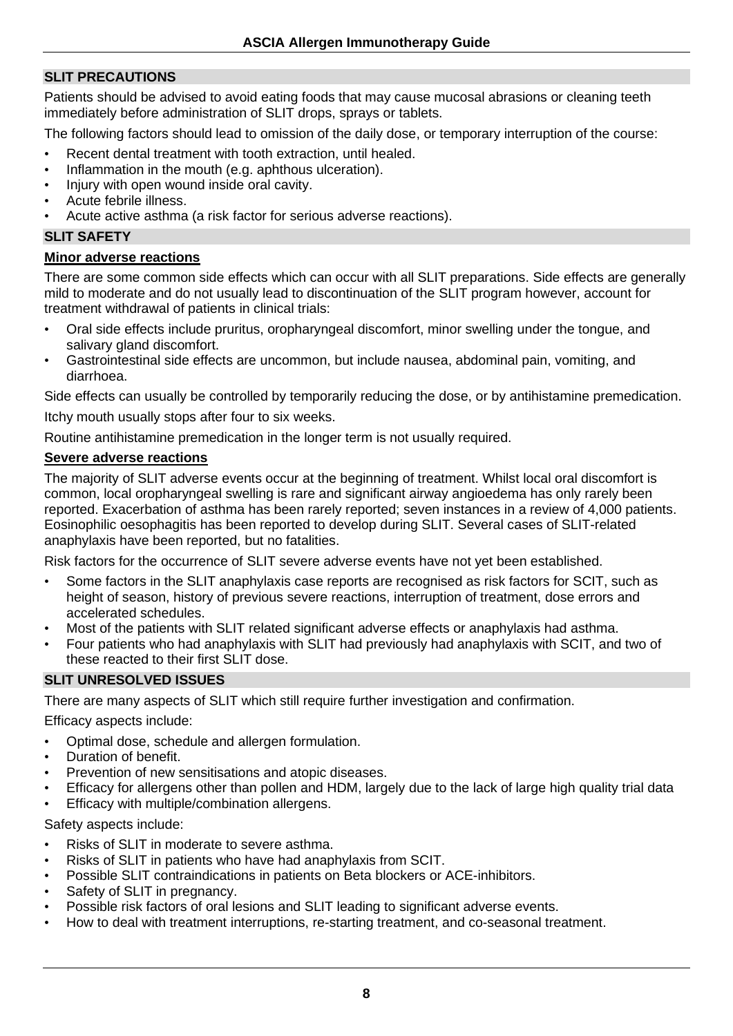#### **SLIT PRECAUTIONS**

Patients should be advised to avoid eating foods that may cause mucosal abrasions or cleaning teeth immediately before administration of SLIT drops, sprays or tablets.

The following factors should lead to omission of the daily dose, or temporary interruption of the course:

- Recent dental treatment with tooth extraction, until healed.
- Inflammation in the mouth (e.g. aphthous ulceration).
- Injury with open wound inside oral cavity.
- Acute febrile illness.
- Acute active asthma (a risk factor for serious adverse reactions).

#### **SLIT SAFETY**

#### **Minor adverse reactions**

There are some common side effects which can occur with all SLIT preparations. Side effects are generally mild to moderate and do not usually lead to discontinuation of the SLIT program however, account for treatment withdrawal of patients in clinical trials:

- Oral side effects include pruritus, oropharyngeal discomfort, minor swelling under the tongue, and salivary gland discomfort.
- Gastrointestinal side effects are uncommon, but include nausea, abdominal pain, vomiting, and diarrhoea.

Side effects can usually be controlled by temporarily reducing the dose, or by antihistamine premedication.

Itchy mouth usually stops after four to six weeks.

Routine antihistamine premedication in the longer term is not usually required.

#### **Severe adverse reactions**

The majority of SLIT adverse events occur at the beginning of treatment. Whilst local oral discomfort is common, local oropharyngeal swelling is rare and significant airway angioedema has only rarely been reported. Exacerbation of asthma has been rarely reported; seven instances in a review of 4,000 patients. Eosinophilic oesophagitis has been reported to develop during SLIT. Several cases of SLIT-related anaphylaxis have been reported, but no fatalities.

Risk factors for the occurrence of SLIT severe adverse events have not yet been established.

- Some factors in the SLIT anaphylaxis case reports are recognised as risk factors for SCIT, such as height of season, history of previous severe reactions, interruption of treatment, dose errors and accelerated schedules.
- Most of the patients with SLIT related significant adverse effects or anaphylaxis had asthma.
- Four patients who had anaphylaxis with SLIT had previously had anaphylaxis with SCIT, and two of these reacted to their first SLIT dose.

#### **SLIT UNRESOLVED ISSUES**

There are many aspects of SLIT which still require further investigation and confirmation.

Efficacy aspects include:

- Optimal dose, schedule and allergen formulation.
- Duration of benefit.
- Prevention of new sensitisations and atopic diseases.
- Efficacy for allergens other than pollen and HDM, largely due to the lack of large high quality trial data
- **Efficacy with multiple/combination allergens.**

Safety aspects include:

- Risks of SLIT in moderate to severe asthma.
- Risks of SLIT in patients who have had anaphylaxis from SCIT.
- Possible SLIT contraindications in patients on Beta blockers or ACE-inhibitors.
- Safety of SLIT in pregnancy.
- Possible risk factors of oral lesions and SLIT leading to significant adverse events.
- How to deal with treatment interruptions, re-starting treatment, and co-seasonal treatment.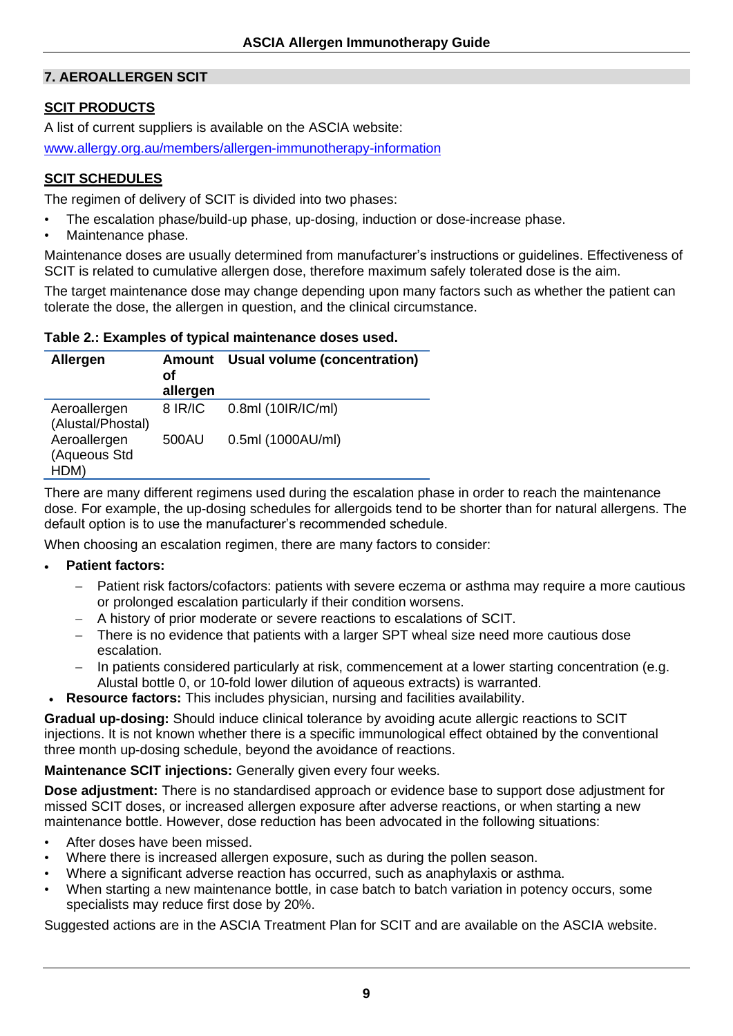#### **7. AEROALLERGEN SCIT**

#### **SCIT PRODUCTS**

A list of current suppliers is available on the ASCIA website:

[www.allergy.org.au/members/allergen-immunotherapy-information](http://www.allergy.org.au/members/allergen-immunotherapy-information)

#### **SCIT SCHEDULES**

The regimen of delivery of SCIT is divided into two phases:

- The escalation phase/build-up phase, up-dosing, induction or dose-increase phase.
- Maintenance phase.

Maintenance doses are usually determined from manufacturer's instructions or guidelines. Effectiveness of SCIT is related to cumulative allergen dose, therefore maximum safely tolerated dose is the aim.

The target maintenance dose may change depending upon many factors such as whether the patient can tolerate the dose, the allergen in question, and the clinical circumstance.

#### **Table 2.: Examples of typical maintenance doses used.**

| <b>Allergen</b>                      | <b>Amount</b><br>οf<br>allergen | <b>Usual volume (concentration)</b> |
|--------------------------------------|---------------------------------|-------------------------------------|
| Aeroallergen<br>(Alustal/Phostal)    | 8 IR/IC                         | 0.8ml (10IR/IC/ml)                  |
| Aeroallergen<br>(Aqueous Std<br>HDM) | 500AU                           | 0.5ml (1000AU/ml)                   |

There are many different regimens used during the escalation phase in order to reach the maintenance dose. For example, the up-dosing schedules for allergoids tend to be shorter than for natural allergens. The default option is to use the manufacturer's recommended schedule.

When choosing an escalation regimen, there are many factors to consider:

#### • **Patient factors:**

- − Patient risk factors/cofactors: patients with severe eczema or asthma may require a more cautious or prolonged escalation particularly if their condition worsens.
- − A history of prior moderate or severe reactions to escalations of SCIT.
- − There is no evidence that patients with a larger SPT wheal size need more cautious dose escalation.
- − In patients considered particularly at risk, commencement at a lower starting concentration (e.g. Alustal bottle 0, or 10-fold lower dilution of aqueous extracts) is warranted.
- **Resource factors:** This includes physician, nursing and facilities availability.

Gradual up-dosing: Should induce clinical tolerance by avoiding acute allergic reactions to SCIT injections. It is not known whether there is a specific immunological effect obtained by the conventional three month up-dosing schedule, beyond the avoidance of reactions.

**Maintenance SCIT injections:** Generally given every four weeks.

**Dose adjustment:** There is no standardised approach or evidence base to support dose adjustment for missed SCIT doses, or increased allergen exposure after adverse reactions, or when starting a new maintenance bottle. However, dose reduction has been advocated in the following situations:

- After doses have been missed.
- Where there is increased allergen exposure, such as during the pollen season.
- Where a significant adverse reaction has occurred, such as anaphylaxis or asthma.
- When starting a new maintenance bottle, in case batch to batch variation in potency occurs, some specialists may reduce first dose by 20%.

Suggested actions are in the ASCIA Treatment Plan for SCIT and are available on the ASCIA website.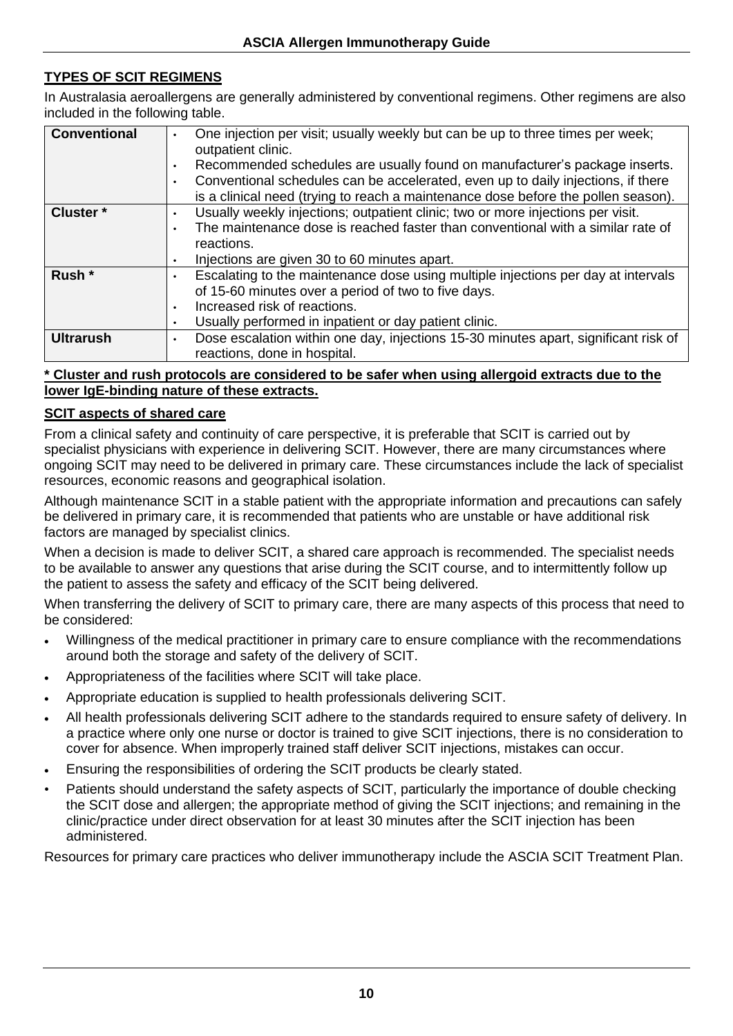#### **TYPES OF SCIT REGIMENS**

In Australasia aeroallergens are generally administered by conventional regimens. Other regimens are also included in the following table.

| <b>Conventional</b>  | One injection per visit; usually weekly but can be up to three times per week;<br>$\bullet$<br>outpatient clinic.<br>Recommended schedules are usually found on manufacturer's package inserts.<br>٠<br>Conventional schedules can be accelerated, even up to daily injections, if there<br>٠<br>is a clinical need (trying to reach a maintenance dose before the pollen season). |
|----------------------|------------------------------------------------------------------------------------------------------------------------------------------------------------------------------------------------------------------------------------------------------------------------------------------------------------------------------------------------------------------------------------|
| Cluster <sup>*</sup> | Usually weekly injections; outpatient clinic; two or more injections per visit.                                                                                                                                                                                                                                                                                                    |
|                      | ٠                                                                                                                                                                                                                                                                                                                                                                                  |
|                      | The maintenance dose is reached faster than conventional with a similar rate of<br>$\bullet$                                                                                                                                                                                                                                                                                       |
|                      | reactions.                                                                                                                                                                                                                                                                                                                                                                         |
|                      | Injections are given 30 to 60 minutes apart.<br>٠                                                                                                                                                                                                                                                                                                                                  |
| Rush <sup>*</sup>    | Escalating to the maintenance dose using multiple injections per day at intervals<br>٠                                                                                                                                                                                                                                                                                             |
|                      | of 15-60 minutes over a period of two to five days.                                                                                                                                                                                                                                                                                                                                |
|                      | Increased risk of reactions.<br>٠                                                                                                                                                                                                                                                                                                                                                  |
|                      | Usually performed in inpatient or day patient clinic.<br>٠                                                                                                                                                                                                                                                                                                                         |
| <b>Ultrarush</b>     | Dose escalation within one day, injections 15-30 minutes apart, significant risk of<br>$\bullet$                                                                                                                                                                                                                                                                                   |
|                      | reactions, done in hospital.                                                                                                                                                                                                                                                                                                                                                       |
|                      |                                                                                                                                                                                                                                                                                                                                                                                    |

#### **\* Cluster and rush protocols are considered to be safer when using allergoid extracts due to the lower IgE-binding nature of these extracts.**

#### **SCIT aspects of shared care**

From a clinical safety and continuity of care perspective, it is preferable that SCIT is carried out by specialist physicians with experience in delivering SCIT. However, there are many circumstances where ongoing SCIT may need to be delivered in primary care. These circumstances include the lack of specialist resources, economic reasons and geographical isolation.

Although maintenance SCIT in a stable patient with the appropriate information and precautions can safely be delivered in primary care, it is recommended that patients who are unstable or have additional risk factors are managed by specialist clinics.

When a decision is made to deliver SCIT, a shared care approach is recommended. The specialist needs to be available to answer any questions that arise during the SCIT course, and to intermittently follow up the patient to assess the safety and efficacy of the SCIT being delivered.

When transferring the delivery of SCIT to primary care, there are many aspects of this process that need to be considered:

- Willingness of the medical practitioner in primary care to ensure compliance with the recommendations around both the storage and safety of the delivery of SCIT.
- Appropriateness of the facilities where SCIT will take place.
- Appropriate education is supplied to health professionals delivering SCIT.
- All health professionals delivering SCIT adhere to the standards required to ensure safety of delivery. In a practice where only one nurse or doctor is trained to give SCIT injections, there is no consideration to cover for absence. When improperly trained staff deliver SCIT injections, mistakes can occur.
- Ensuring the responsibilities of ordering the SCIT products be clearly stated.
- Patients should understand the safety aspects of SCIT, particularly the importance of double checking the SCIT dose and allergen; the appropriate method of giving the SCIT injections; and remaining in the clinic/practice under direct observation for at least 30 minutes after the SCIT injection has been administered.

Resources for primary care practices who deliver immunotherapy include the ASCIA SCIT Treatment Plan.